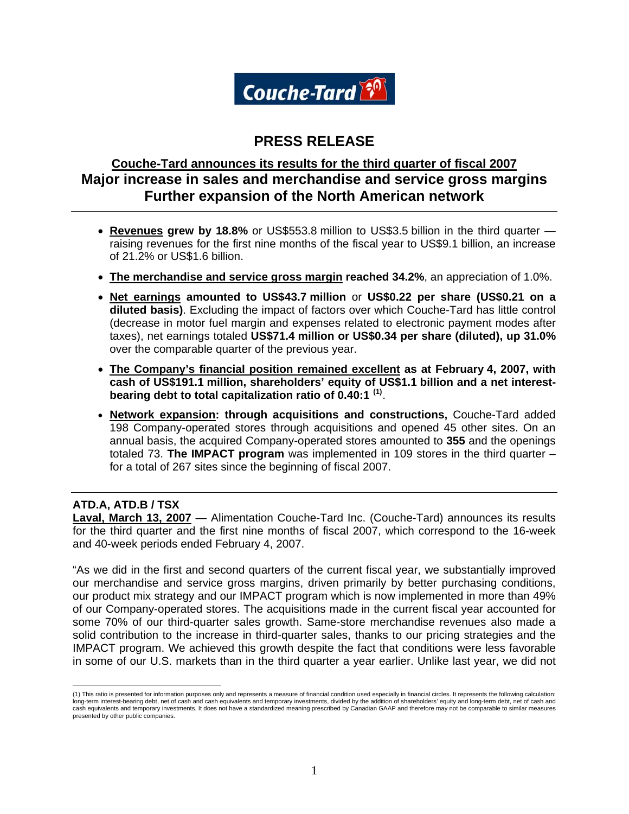

# **PRESS RELEASE**

# **Couche-Tard announces its results for the third quarter of fiscal 2007 Major increase in sales and merchandise and service gross margins Further expansion of the North American network**

- **Revenues grew by 18.8%** or US\$553.8 million to US\$3.5 billion in the third quarter raising revenues for the first nine months of the fiscal year to US\$9.1 billion, an increase of 21.2% or US\$1.6 billion.
- **The merchandise and service gross margin reached 34.2%**, an appreciation of 1.0%.
- **Net earnings amounted to US\$43.7 million** or **US\$0.22 per share (US\$0.21 on a diluted basis)**. Excluding the impact of factors over which Couche-Tard has little control (decrease in motor fuel margin and expenses related to electronic payment modes after taxes), net earnings totaled **US\$71.4 million or US\$0.34 per share (diluted), up 31.0%** over the comparable quarter of the previous year.
- **The Company's financial position remained excellent as at February 4, 2007, with cash of US\$191.1 million, shareholders' equity of US\$1.1 billion and a net interestbearing debt to total capitalization ratio of 0.40:1 [\(1\)](#page-0-0)**.
- **Network expansion: through acquisitions and constructions,** Couche-Tard added 198 Company-operated stores through acquisitions and opened 45 other sites. On an annual basis, the acquired Company-operated stores amounted to **355** and the openings totaled 73. **The IMPACT program** was implemented in 109 stores in the third quarter – for a total of 267 sites since the beginning of fiscal 2007.

## **ATD.A, ATD.B / TSX**

**Laval, March 13, 2007** — Alimentation Couche-Tard Inc. (Couche-Tard) announces its results for the third quarter and the first nine months of fiscal 2007, which correspond to the 16-week and 40-week periods ended February 4, 2007.

"As we did in the first and second quarters of the current fiscal year, we substantially improved our merchandise and service gross margins, driven primarily by better purchasing conditions, our product mix strategy and our IMPACT program which is now implemented in more than 49% of our Company-operated stores. The acquisitions made in the current fiscal year accounted for some 70% of our third-quarter sales growth. Same-store merchandise revenues also made a solid contribution to the increase in third-quarter sales, thanks to our pricing strategies and the IMPACT program. We achieved this growth despite the fact that conditions were less favorable in some of our U.S. markets than in the third quarter a year earlier. Unlike last year, we did not

<span id="page-0-0"></span><sup>1</sup> (1) This ratio is presented for information purposes only and represents a measure of financial condition used especially in financial circles. It represents the following calculation: long-term interest-bearing debt, net of cash and cash equivalents and temporary investments, divided by the addition of shareholders' equity and long-term debt, net of cash and<br>cash equivalents and temporary investments. I presented by other public companies.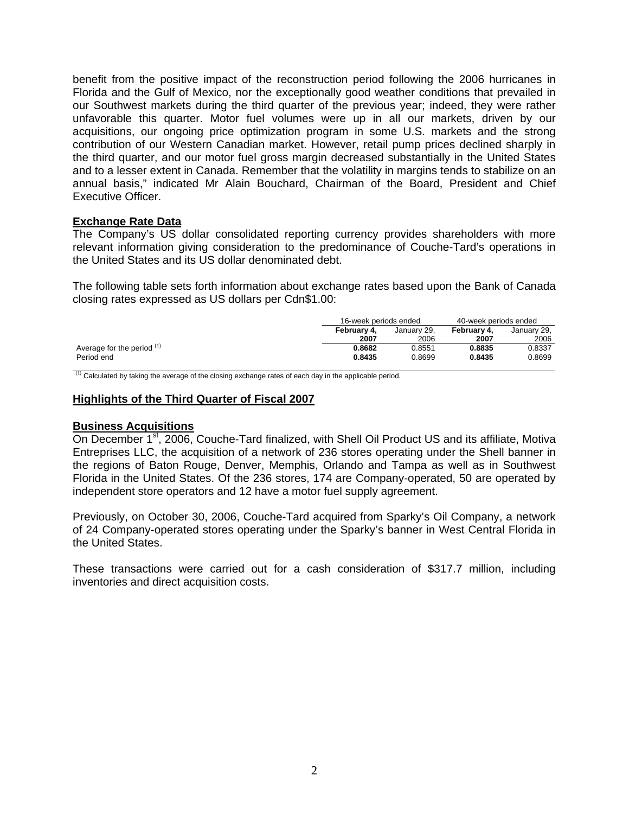benefit from the positive impact of the reconstruction period following the 2006 hurricanes in Florida and the Gulf of Mexico, nor the exceptionally good weather conditions that prevailed in our Southwest markets during the third quarter of the previous year; indeed, they were rather unfavorable this quarter. Motor fuel volumes were up in all our markets, driven by our acquisitions, our ongoing price optimization program in some U.S. markets and the strong contribution of our Western Canadian market. However, retail pump prices declined sharply in the third quarter, and our motor fuel gross margin decreased substantially in the United States and to a lesser extent in Canada. Remember that the volatility in margins tends to stabilize on an annual basis," indicated Mr Alain Bouchard, Chairman of the Board, President and Chief Executive Officer.

## **Exchange Rate Data**

The Company's US dollar consolidated reporting currency provides shareholders with more relevant information giving consideration to the predominance of Couche-Tard's operations in the United States and its US dollar denominated debt.

The following table sets forth information about exchange rates based upon the Bank of Canada closing rates expressed as US dollars per Cdn\$1.00:

|                            | 16-week periods ended |             | 40-week periods ended |             |  |
|----------------------------|-----------------------|-------------|-----------------------|-------------|--|
|                            | February 4.           | January 29. |                       | January 29. |  |
|                            | 2007                  | 2006        | 2007                  | 2006        |  |
| Average for the period (1) | 0.8682                | 0.8551      | 0.8835                | 0.8337      |  |
| Period end                 | 0.8435                | 0.8699      | 0.8435                | 0.8699      |  |

 $(1)$  Calculated by taking the average of the closing exchange rates of each day in the applicable period.

### **Highlights of the Third Quarter of Fiscal 2007**

### **Business Acquisitions**

On December 1<sup>st</sup>, 2006, Couche-Tard finalized, with Shell Oil Product US and its affiliate, Motiva Entreprises LLC, the acquisition of a network of 236 stores operating under the Shell banner in the regions of Baton Rouge, Denver, Memphis, Orlando and Tampa as well as in Southwest Florida in the United States. Of the 236 stores, 174 are Company-operated, 50 are operated by independent store operators and 12 have a motor fuel supply agreement.

Previously, on October 30, 2006, Couche-Tard acquired from Sparky's Oil Company, a network of 24 Company-operated stores operating under the Sparky's banner in West Central Florida in the United States.

These transactions were carried out for a cash consideration of \$317.7 million, including inventories and direct acquisition costs.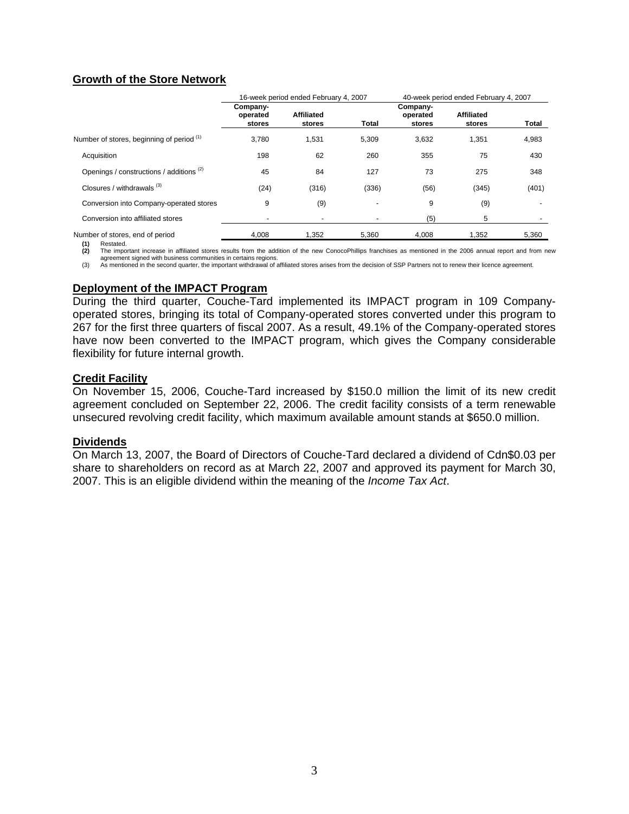## **Growth of the Store Network**

|                                           |                                | 16-week period ended February 4, 2007 |       | 40-week period ended February 4, 2007 |                             |       |  |
|-------------------------------------------|--------------------------------|---------------------------------------|-------|---------------------------------------|-----------------------------|-------|--|
|                                           | Company-<br>operated<br>stores | <b>Affiliated</b><br>stores           | Total | Company-<br>operated<br>stores        | <b>Affiliated</b><br>stores | Total |  |
| Number of stores, beginning of period (1) | 3.780                          | 1,531                                 | 5,309 | 3,632                                 | 1,351                       | 4,983 |  |
| Acquisition                               | 198                            | 62                                    | 260   | 355                                   | 75                          | 430   |  |
| Openings / constructions / additions (2)  | 45                             | 84                                    | 127   | 73                                    | 275                         | 348   |  |
| Closures / withdrawals (3)                | (24)                           | (316)                                 | (336) | (56)                                  | (345)                       | (401) |  |
| Conversion into Company-operated stores   | 9                              | (9)                                   |       | 9                                     | (9)                         |       |  |
| Conversion into affiliated stores         |                                |                                       |       | (5)                                   | 5                           |       |  |
| Number of stores, end of period           | 4.008                          | 1.352                                 | 5.360 | 4.008                                 | 1.352                       | 5,360 |  |

**(1)** Restated. **(2)** The important increase in affiliated stores results from the addition of the new ConocoPhillips franchises as mentioned in the 2006 annual report and from new

agreement signed with business communities in certains regions.<br>(3) As mentioned in the second quarter, the important withdrawal of affiliated stores arises from the decision of SSP Partners not to renew their licence agre

## **Deployment of the IMPACT Program**

During the third quarter, Couche-Tard implemented its IMPACT program in 109 Companyoperated stores, bringing its total of Company-operated stores converted under this program to 267 for the first three quarters of fiscal 2007. As a result, 49.1% of the Company-operated stores have now been converted to the IMPACT program, which gives the Company considerable flexibility for future internal growth.

## **Credit Facility**

On November 15, 2006, Couche-Tard increased by \$150.0 million the limit of its new credit agreement concluded on September 22, 2006. The credit facility consists of a term renewable unsecured revolving credit facility, which maximum available amount stands at \$650.0 million.

## **Dividends**

On March 13, 2007, the Board of Directors of Couche-Tard declared a dividend of Cdn\$0.03 per share to shareholders on record as at March 22, 2007 and approved its payment for March 30, 2007. This is an eligible dividend within the meaning of the *Income Tax Act*.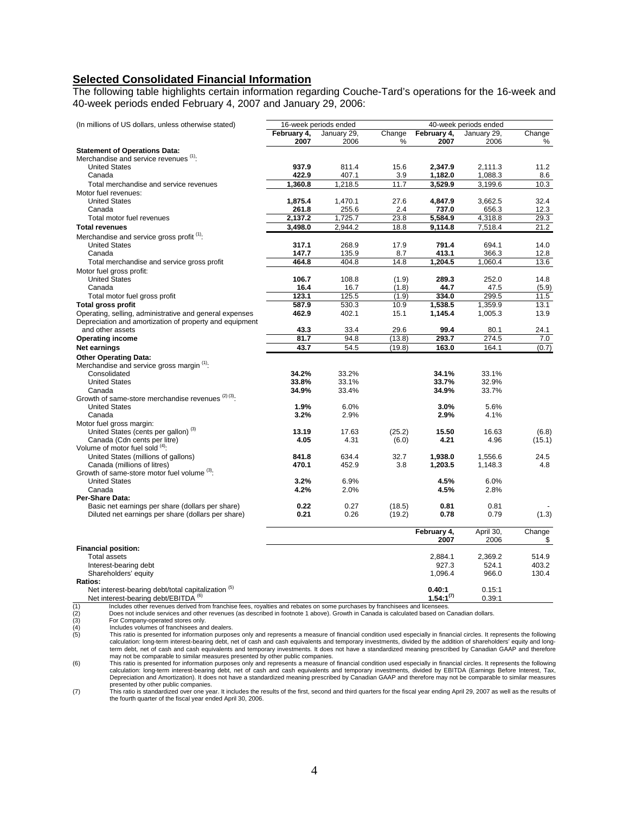## **Selected Consolidated Financial Information**

The following table highlights certain information regarding Couche-Tard's operations for the 16-week and 40-week periods ended February 4, 2007 and January 29, 2006:

| (In millions of US dollars, unless otherwise stated)                            | 16-week periods ended |                     |             | 40-week periods ended |                     |             |  |
|---------------------------------------------------------------------------------|-----------------------|---------------------|-------------|-----------------------|---------------------|-------------|--|
|                                                                                 | February 4,<br>2007   | January 29,<br>2006 | Change<br>% | February 4,<br>2007   | January 29,<br>2006 | Change<br>% |  |
| <b>Statement of Operations Data:</b>                                            |                       |                     |             |                       |                     |             |  |
| Merchandise and service revenues (1):                                           |                       |                     |             |                       |                     |             |  |
| <b>United States</b>                                                            | 937.9                 | 811.4               | 15.6        | 2,347.9               | 2,111.3             | 11.2        |  |
| Canada                                                                          | 422.9                 | 407.1               | 3.9         | 1,182.0               | 1,088.3             | 8.6         |  |
| Total merchandise and service revenues                                          | 1,360.8               | 1,218.5             | 11.7        | 3,529.9               | 3,199.6             | 10.3        |  |
| Motor fuel revenues:                                                            |                       |                     |             |                       |                     |             |  |
| <b>United States</b>                                                            | 1.875.4               | 1.470.1             | 27.6        | 4.847.9               | 3.662.5             | 32.4        |  |
| Canada                                                                          | 261.8                 | 255.6               | 2.4         | 737.0                 | 656.3               | 12.3        |  |
| Total motor fuel revenues                                                       | 2.137.2               | 1.725.7             | 23.8        | 5.584.9               | 4,318.8             | 29.3        |  |
| <b>Total revenues</b>                                                           | 3,498.0               | 2,944.2             | 18.8        | 9,114.8               | 7,518.4             | 21.2        |  |
| Merchandise and service gross profit <sup>(1)</sup> :                           |                       |                     |             |                       |                     |             |  |
| <b>United States</b>                                                            | 317.1                 | 268.9               | 17.9        | 791.4                 | 694.1               | 14.0        |  |
| Canada                                                                          | 147.7                 | 135.9               | 8.7         | 413.1                 | 366.3               | 12.8        |  |
| Total merchandise and service gross profit                                      | 464.8                 | 404.8               | 14.8        | 1.204.5               | 1.060.4             | 13.6        |  |
| Motor fuel gross profit:                                                        |                       |                     |             |                       |                     |             |  |
| <b>United States</b>                                                            | 106.7                 | 108.8               | (1.9)       | 289.3                 | 252.0               | 14.8        |  |
| Canada                                                                          | 16.4                  | 16.7                | (1.8)       | 44.7                  | 47.5                | (5.9)       |  |
| Total motor fuel gross profit                                                   | 123.1                 | 125.5               | (1.9)       | 334.0                 | 299.5               | 11.5        |  |
| <b>Total gross profit</b>                                                       | 587.9                 | 530.3               | 10.9        | 1,538.5               | 1,359.9             | 13.1        |  |
| Operating, selling, administrative and general expenses                         | 462.9                 | 402.1               | 15.1        | 1,145.4               |                     | 13.9        |  |
| Depreciation and amortization of property and equipment                         |                       |                     |             |                       | 1,005.3             |             |  |
| and other assets                                                                | 43.3                  | 33.4                | 29.6        | 99.4                  | 80.1                |             |  |
|                                                                                 | 81.7                  | 94.8                | (13.8)      | 293.7                 | 274.5               | 24.1<br>7.0 |  |
| <b>Operating income</b>                                                         | 43.7                  | 54.5                | (19.8)      | 163.0                 | 164.1               | (0.7)       |  |
| Net earnings                                                                    |                       |                     |             |                       |                     |             |  |
| <b>Other Operating Data:</b>                                                    |                       |                     |             |                       |                     |             |  |
| Merchandise and service gross margin <sup>(1)</sup> :                           |                       |                     |             |                       |                     |             |  |
| Consolidated                                                                    | 34.2%                 | 33.2%               |             | 34.1%                 | 33.1%               |             |  |
| <b>United States</b>                                                            | 33.8%                 | 33.1%               |             | 33.7%                 | 32.9%               |             |  |
| Canada                                                                          | 34.9%                 | 33.4%               |             | 34.9%                 | 33.7%               |             |  |
| Growth of same-store merchandise revenues (2) (3).                              |                       |                     |             |                       |                     |             |  |
| <b>United States</b>                                                            | 1.9%                  | 6.0%                |             | 3.0%                  | 5.6%                |             |  |
| Canada                                                                          | 3.2%                  | 2.9%                |             | 2.9%                  | 4.1%                |             |  |
| Motor fuel gross margin:                                                        | 13.19                 | 17.63               |             | 15.50                 | 16.63               |             |  |
| United States (cents per gallon) <sup>(3)</sup><br>Canada (Cdn cents per litre) | 4.05                  |                     | (25.2)      | 4.21                  |                     | (6.8)       |  |
| Volume of motor fuel sold (4):                                                  |                       | 4.31                | (6.0)       |                       | 4.96                | (15.1)      |  |
| United States (millions of gallons)                                             | 841.8                 | 634.4               | 32.7        | 1,938.0               | 1,556.6             | 24.5        |  |
| Canada (millions of litres)                                                     | 470.1                 | 452.9               | 3.8         | 1,203.5               | 1,148.3             | 4.8         |  |
| Growth of same-store motor fuel volume (3).                                     |                       |                     |             |                       |                     |             |  |
| <b>United States</b>                                                            | 3.2%                  | 6.9%                |             | 4.5%                  | 6.0%                |             |  |
| Canada                                                                          | 4.2%                  | 2.0%                |             | 4.5%                  | 2.8%                |             |  |
| <b>Per-Share Data:</b>                                                          |                       |                     |             |                       |                     |             |  |
| Basic net earnings per share (dollars per share)                                | 0.22                  | 0.27                | (18.5)      | 0.81                  | 0.81                |             |  |
| Diluted net earnings per share (dollars per share)                              | 0.21                  | 0.26                | (19.2)      | 0.78                  | 0.79                | (1.3)       |  |
|                                                                                 |                       |                     |             |                       |                     |             |  |
|                                                                                 |                       |                     |             | February 4,           | April 30,           | Change      |  |
|                                                                                 |                       |                     |             | 2007                  | 2006                | \$.         |  |

|                                                    | 2007           | 2006    | $\tilde{\phantom{a}}$ |
|----------------------------------------------------|----------------|---------|-----------------------|
| <b>Financial position:</b>                         |                |         |                       |
| Total assets                                       | 2.884.1        | 2.369.2 | 514.9                 |
| Interest-bearing debt                              | 927.3          | 524.1   | 403.2                 |
| Shareholders' equity                               | 1.096.4        | 966.0   | 130.4                 |
| <b>Ratios:</b>                                     |                |         |                       |
| Net interest-bearing debt/total capitalization (b) | 0.40:1         | 0.15:1  |                       |
| Net interest-bearing debt/EBITDA <sup>(6)</sup>    | $1.54:1^{(7)}$ | 0.39:1  |                       |

(1) Includes other revenues derived from franchise fees, royalties and rebates on some purchases by franchisees and licensees.<br>(2) Does not include services and other revenues (as described in footnote 1 above). Growth in

Includes volumes of franchisees and dealers.

(1) Includes other revenues derived from<br>
(2) Does not include services and other<br>
For Company-operated stores only.<br>
(4) Includes volumes of franchisees and<br>
(5) This ratio is presented for information This ratio is presented for information purposes only and represents a measure of financial condition used especially in financial circles. It represents the following calculation: long-term interest-bearing debt, net of cash and cash equivalents and temporary investments, divided by the addition of shareholders' equity and long-<br>term debt, net of cash and cash equivalents and temporary may not be comparable to similar measures presented by other public companies.

6) This ratio is presented for information purposes only and represents a measure of financial condition used especially in financial circles. It represents the following<br>Calculation: long-term interest-bearing debt, net o Depreciation and Amortization). It does not have a standardized meaning prescribed by Canadian GAAP and therefore may not be comparable to similar measures

presented by other public companies.<br>(7) This ratio is standardized over one year. It includes the results of the first, second and third quarters for the fiscal year ending April 29, 2007 as well as the results of the fourth quarter of the fiscal year ended April 30, 2006.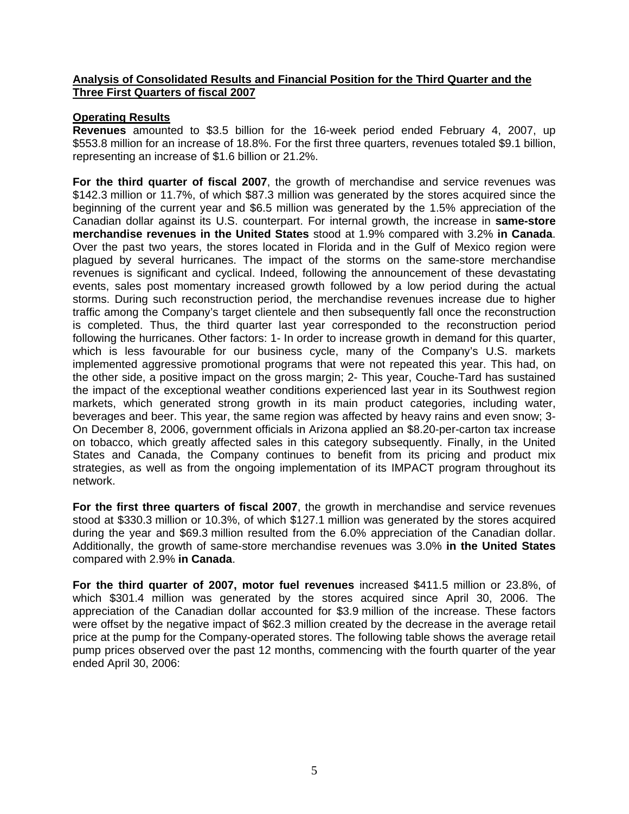## **Analysis of Consolidated Results and Financial Position for the Third Quarter and the Three First Quarters of fiscal 2007**

## **Operating Results**

**Revenues** amounted to \$3.5 billion for the 16-week period ended February 4, 2007, up \$553.8 million for an increase of 18.8%. For the first three quarters, revenues totaled \$9.1 billion, representing an increase of \$1.6 billion or 21.2%.

**For the third quarter of fiscal 2007**, the growth of merchandise and service revenues was \$142.3 million or 11.7%, of which \$87.3 million was generated by the stores acquired since the beginning of the current year and \$6.5 million was generated by the 1.5% appreciation of the Canadian dollar against its U.S. counterpart. For internal growth, the increase in **same-store merchandise revenues in the United States** stood at 1.9% compared with 3.2% **in Canada**. Over the past two years, the stores located in Florida and in the Gulf of Mexico region were plagued by several hurricanes. The impact of the storms on the same-store merchandise revenues is significant and cyclical. Indeed, following the announcement of these devastating events, sales post momentary increased growth followed by a low period during the actual storms. During such reconstruction period, the merchandise revenues increase due to higher traffic among the Company's target clientele and then subsequently fall once the reconstruction is completed. Thus, the third quarter last year corresponded to the reconstruction period following the hurricanes. Other factors: 1- In order to increase growth in demand for this quarter, which is less favourable for our business cycle, many of the Company's U.S. markets implemented aggressive promotional programs that were not repeated this year. This had, on the other side, a positive impact on the gross margin; 2- This year, Couche-Tard has sustained the impact of the exceptional weather conditions experienced last year in its Southwest region markets, which generated strong growth in its main product categories, including water, beverages and beer. This year, the same region was affected by heavy rains and even snow; 3- On December 8, 2006, government officials in Arizona applied an \$8.20-per-carton tax increase on tobacco, which greatly affected sales in this category subsequently. Finally, in the United States and Canada, the Company continues to benefit from its pricing and product mix strategies, as well as from the ongoing implementation of its IMPACT program throughout its network.

**For the first three quarters of fiscal 2007**, the growth in merchandise and service revenues stood at \$330.3 million or 10.3%, of which \$127.1 million was generated by the stores acquired during the year and \$69.3 million resulted from the 6.0% appreciation of the Canadian dollar. Additionally, the growth of same-store merchandise revenues was 3.0% **in the United States** compared with 2.9% **in Canada**.

**For the third quarter of 2007, motor fuel revenues** increased \$411.5 million or 23.8%, of which \$301.4 million was generated by the stores acquired since April 30, 2006. The appreciation of the Canadian dollar accounted for \$3.9 million of the increase. These factors were offset by the negative impact of \$62.3 million created by the decrease in the average retail price at the pump for the Company-operated stores. The following table shows the average retail pump prices observed over the past 12 months, commencing with the fourth quarter of the year ended April 30, 2006: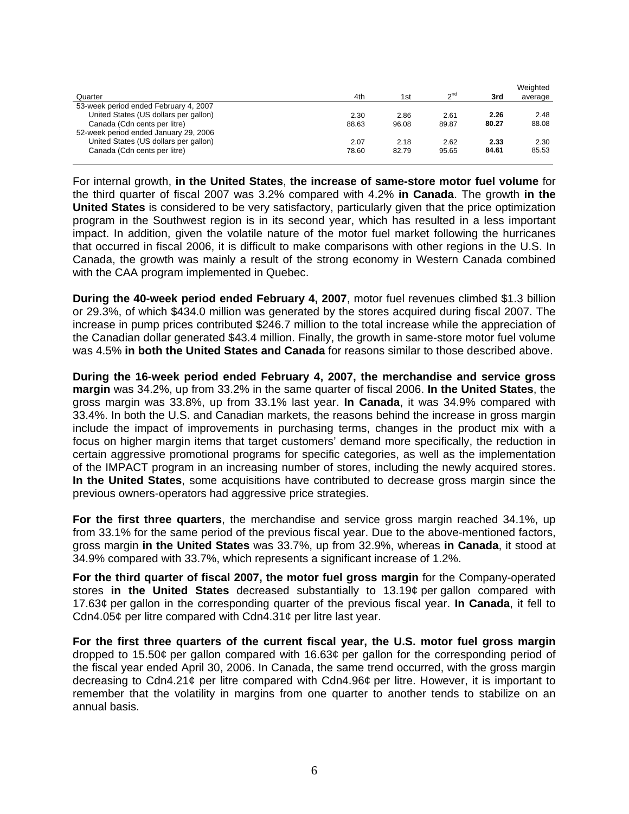| Quarter                               | 4th   | 1st   | <sub>2</sub> nd | 3rd   | Weighted<br>average |
|---------------------------------------|-------|-------|-----------------|-------|---------------------|
| 53-week period ended February 4, 2007 |       |       |                 |       |                     |
| United States (US dollars per gallon) | 2.30  | 2.86  | 2.61            | 2.26  | 2.48                |
| Canada (Cdn cents per litre)          | 88.63 | 96.08 | 89.87           | 80.27 | 88.08               |
| 52-week period ended January 29, 2006 |       |       |                 |       |                     |
| United States (US dollars per gallon) | 2.07  | 2.18  | 2.62            | 2.33  | 2.30                |
| Canada (Cdn cents per litre)          | 78.60 | 82.79 | 95.65           | 84.61 | 85.53               |

For internal growth, **in the United States**, **the increase of same-store motor fuel volume** for the third quarter of fiscal 2007 was 3.2% compared with 4.2% **in Canada**. The growth **in the United States** is considered to be very satisfactory, particularly given that the price optimization program in the Southwest region is in its second year, which has resulted in a less important impact. In addition, given the volatile nature of the motor fuel market following the hurricanes that occurred in fiscal 2006, it is difficult to make comparisons with other regions in the U.S. In Canada, the growth was mainly a result of the strong economy in Western Canada combined with the CAA program implemented in Quebec.

**During the 40-week period ended February 4, 2007**, motor fuel revenues climbed \$1.3 billion or 29.3%, of which \$434.0 million was generated by the stores acquired during fiscal 2007. The increase in pump prices contributed \$246.7 million to the total increase while the appreciation of the Canadian dollar generated \$43.4 million. Finally, the growth in same-store motor fuel volume was 4.5% **in both the United States and Canada** for reasons similar to those described above.

**During the 16-week period ended February 4, 2007, the merchandise and service gross margin** was 34.2%, up from 33.2% in the same quarter of fiscal 2006. **In the United States**, the gross margin was 33.8%, up from 33.1% last year. **In Canada**, it was 34.9% compared with 33.4%. In both the U.S. and Canadian markets, the reasons behind the increase in gross margin include the impact of improvements in purchasing terms, changes in the product mix with a focus on higher margin items that target customers' demand more specifically, the reduction in certain aggressive promotional programs for specific categories, as well as the implementation of the IMPACT program in an increasing number of stores, including the newly acquired stores. **In the United States**, some acquisitions have contributed to decrease gross margin since the previous owners-operators had aggressive price strategies.

**For the first three quarters**, the merchandise and service gross margin reached 34.1%, up from 33.1% for the same period of the previous fiscal year. Due to the above-mentioned factors, gross margin **in the United States** was 33.7%, up from 32.9%, whereas **in Canada**, it stood at 34.9% compared with 33.7%, which represents a significant increase of 1.2%.

**For the third quarter of fiscal 2007, the motor fuel gross margin** for the Company-operated stores **in the United States** decreased substantially to 13.19¢ per gallon compared with 17.63¢ per gallon in the corresponding quarter of the previous fiscal year. **In Canada**, it fell to Cdn4.05¢ per litre compared with Cdn4.31¢ per litre last year.

**For the first three quarters of the current fiscal year, the U.S. motor fuel gross margin** dropped to 15.50¢ per gallon compared with 16.63¢ per gallon for the corresponding period of the fiscal year ended April 30, 2006. In Canada, the same trend occurred, with the gross margin decreasing to Cdn4.21¢ per litre compared with Cdn4.96¢ per litre. However, it is important to remember that the volatility in margins from one quarter to another tends to stabilize on an annual basis.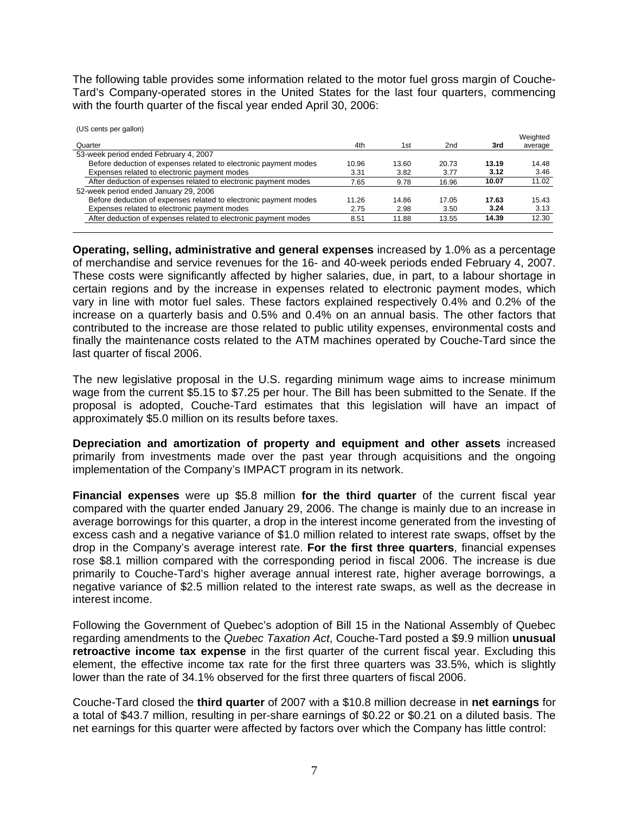The following table provides some information related to the motor fuel gross margin of Couche-Tard's Company-operated stores in the United States for the last four quarters, commencing with the fourth quarter of the fiscal year ended April 30, 2006:

 $(110 \text{ cm})$ 

| (US cents per gallon)<br>Quarter                                 | 4th   | 1 <sub>st</sub> | 2nd   | 3rd   | Weighted<br>average |
|------------------------------------------------------------------|-------|-----------------|-------|-------|---------------------|
| 53-week period ended February 4, 2007                            |       |                 |       |       |                     |
| Before deduction of expenses related to electronic payment modes | 10.96 | 13.60           | 20.73 | 13.19 | 14.48               |
| Expenses related to electronic payment modes                     | 3.31  | 3.82            | 3.77  | 3.12  | 3.46                |
| After deduction of expenses related to electronic payment modes  | 7.65  | 9.78            | 16.96 | 10.07 | 11.02               |
| 52-week period ended January 29, 2006                            |       |                 |       |       |                     |
| Before deduction of expenses related to electronic payment modes | 11.26 | 14.86           | 17.05 | 17.63 | 15.43               |
| Expenses related to electronic payment modes                     | 2.75  | 2.98            | 3.50  | 3.24  | 3.13                |
| After deduction of expenses related to electronic payment modes  | 8.51  | 11.88           | 13.55 | 14.39 | 12.30               |
|                                                                  |       |                 |       |       |                     |

**Operating, selling, administrative and general expenses** increased by 1.0% as a percentage of merchandise and service revenues for the 16- and 40-week periods ended February 4, 2007. These costs were significantly affected by higher salaries, due, in part, to a labour shortage in certain regions and by the increase in expenses related to electronic payment modes, which vary in line with motor fuel sales. These factors explained respectively 0.4% and 0.2% of the increase on a quarterly basis and 0.5% and 0.4% on an annual basis. The other factors that contributed to the increase are those related to public utility expenses, environmental costs and finally the maintenance costs related to the ATM machines operated by Couche-Tard since the last quarter of fiscal 2006.

The new legislative proposal in the U.S. regarding minimum wage aims to increase minimum wage from the current \$5.15 to \$7.25 per hour. The Bill has been submitted to the Senate. If the proposal is adopted, Couche-Tard estimates that this legislation will have an impact of approximately \$5.0 million on its results before taxes.

**Depreciation and amortization of property and equipment and other assets** increased primarily from investments made over the past year through acquisitions and the ongoing implementation of the Company's IMPACT program in its network.

**Financial expenses** were up \$5.8 million **for the third quarter** of the current fiscal year compared with the quarter ended January 29, 2006. The change is mainly due to an increase in average borrowings for this quarter, a drop in the interest income generated from the investing of excess cash and a negative variance of \$1.0 million related to interest rate swaps, offset by the drop in the Company's average interest rate. **For the first three quarters**, financial expenses rose \$8.1 million compared with the corresponding period in fiscal 2006. The increase is due primarily to Couche-Tard's higher average annual interest rate, higher average borrowings, a negative variance of \$2.5 million related to the interest rate swaps, as well as the decrease in interest income.

Following the Government of Quebec's adoption of Bill 15 in the National Assembly of Quebec regarding amendments to the *Quebec Taxation Act*, Couche-Tard posted a \$9.9 million **unusual retroactive income tax expense** in the first quarter of the current fiscal year. Excluding this element, the effective income tax rate for the first three quarters was 33.5%, which is slightly lower than the rate of 34.1% observed for the first three quarters of fiscal 2006.

Couche-Tard closed the **third quarter** of 2007 with a \$10.8 million decrease in **net earnings** for a total of \$43.7 million, resulting in per-share earnings of \$0.22 or \$0.21 on a diluted basis. The net earnings for this quarter were affected by factors over which the Company has little control: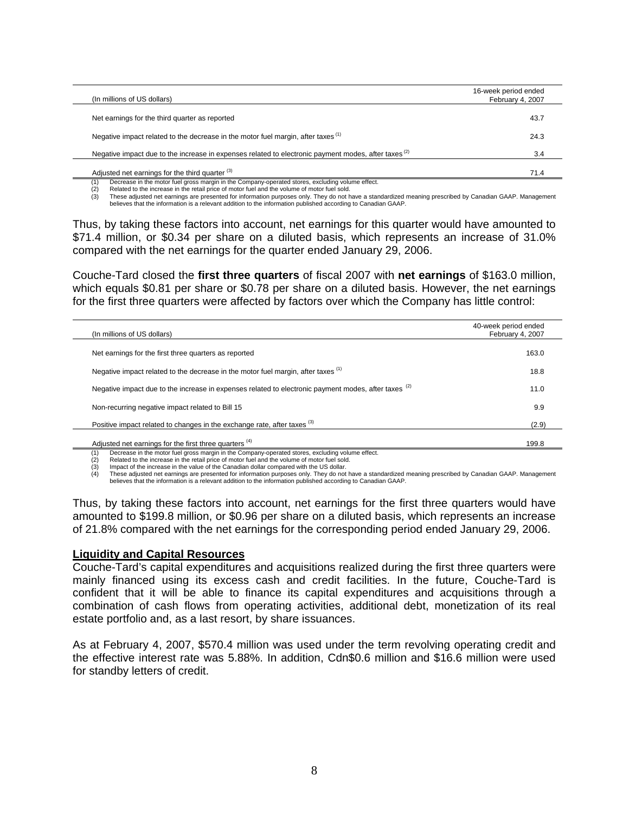| (In millions of US dollars)                                                                                     | 16-week period ended<br>February 4, 2007 |  |
|-----------------------------------------------------------------------------------------------------------------|------------------------------------------|--|
| Net earnings for the third quarter as reported                                                                  | 43.7                                     |  |
| Negative impact related to the decrease in the motor fuel margin, after taxes <sup>(1)</sup>                    | 24.3                                     |  |
| Negative impact due to the increase in expenses related to electronic payment modes, after taxes <sup>(2)</sup> | 3.4                                      |  |
| Adjusted net earnings for the third quarter <sup>(3)</sup>                                                      | 71.4                                     |  |

(1) Decrease in the motor fuel gross margin in the Company-operated stores, excluding volume effect.

Related to the increase in the retail price of motor fuel and the volume of motor fuel sold.

(3) These adjusted net earnings are presented for information purposes only. They do not have a standardized meaning prescribed by Canadian GAAP. Management believes that the information is a relevant addition to the information published according to Canadian GAAP.

Thus, by taking these factors into account, net earnings for this quarter would have amounted to \$71.4 million, or \$0.34 per share on a diluted basis, which represents an increase of 31.0% compared with the net earnings for the quarter ended January 29, 2006.

Couche-Tard closed the **first three quarters** of fiscal 2007 with **net earnings** of \$163.0 million, which equals \$0.81 per share or \$0.78 per share on a diluted basis. However, the net earnings for the first three quarters were affected by factors over which the Company has little control:

| (In millions of US dollars)                                                                          | 40-week period ended<br>February 4, 2007 |
|------------------------------------------------------------------------------------------------------|------------------------------------------|
| Net earnings for the first three quarters as reported                                                | 163.0                                    |
| Negative impact related to the decrease in the motor fuel margin, after taxes <sup>(1)</sup>         | 18.8                                     |
| Negative impact due to the increase in expenses related to electronic payment modes, after taxes (2) | 11.0                                     |
| Non-recurring negative impact related to Bill 15                                                     | 9.9                                      |
| Positive impact related to changes in the exchange rate, after taxes (3)                             | (2.9)                                    |
| Adjusted net earnings for the first three quarters (4)                                               | 199.8                                    |

Decrease in the motor fuel gross margin in the Company-operated stores, excluding volume effect.

(2) Related to the increase in the retail price of motor fuel and the volume of motor fuel sold.

(3) Impact of the increase in the value of the Canadian dollar compared with the US dollar.

These adjusted net earnings are presented for information purposes only. They do not have a standardized meaning prescribed by Canadian GAAP. Management believes that the information is a relevant addition to the information published according to Canadian GAAP.

Thus, by taking these factors into account, net earnings for the first three quarters would have amounted to \$199.8 million, or \$0.96 per share on a diluted basis, which represents an increase of 21.8% compared with the net earnings for the corresponding period ended January 29, 2006.

## **Liquidity and Capital Resources**

Couche-Tard's capital expenditures and acquisitions realized during the first three quarters were mainly financed using its excess cash and credit facilities. In the future, Couche-Tard is confident that it will be able to finance its capital expenditures and acquisitions through a combination of cash flows from operating activities, additional debt, monetization of its real estate portfolio and, as a last resort, by share issuances.

As at February 4, 2007, \$570.4 million was used under the term revolving operating credit and the effective interest rate was 5.88%. In addition, Cdn\$0.6 million and \$16.6 million were used for standby letters of credit.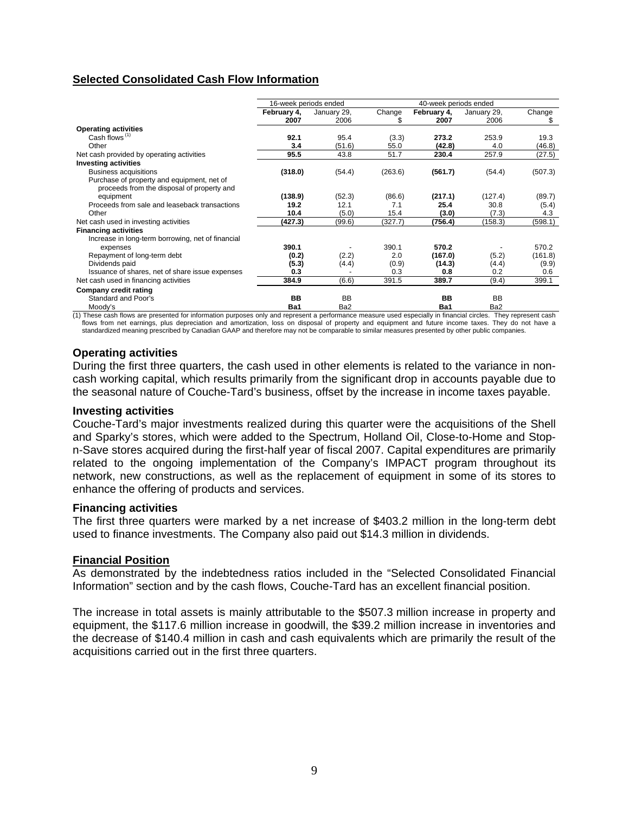## **Selected Consolidated Cash Flow Information**

|                                                          | 16-week periods ended |                     |         | 40-week periods ended |             |         |  |
|----------------------------------------------------------|-----------------------|---------------------|---------|-----------------------|-------------|---------|--|
|                                                          | February 4,           | January 29,<br>2006 | Change  | February 4,           | January 29, | Change  |  |
|                                                          | 2007                  |                     | S       | 2007                  | 2006        | S       |  |
| <b>Operating activities</b><br>Cash flows <sup>(1)</sup> |                       |                     |         |                       |             |         |  |
|                                                          | 92.1                  | 95.4                | (3.3)   | 273.2                 | 253.9       | 19.3    |  |
| Other                                                    | 3.4                   | (51.6)              | 55.0    | (42.8)                | 4.0         | (46.8)  |  |
| Net cash provided by operating activities                | 95.5                  | 43.8                | 51.7    | 230.4                 | 257.9       | (27.5)  |  |
| <b>Investing activities</b>                              |                       |                     |         |                       |             |         |  |
| <b>Business acquisitions</b>                             | (318.0)               | (54.4)              | (263.6) | (561.7)               | (54.4)      | (507.3) |  |
| Purchase of property and equipment, net of               |                       |                     |         |                       |             |         |  |
| proceeds from the disposal of property and               |                       |                     |         |                       |             |         |  |
| equipment                                                | (138.9)               | (52.3)              | (86.6)  | (217.1)               | (127.4)     | (89.7)  |  |
| Proceeds from sale and leaseback transactions            | 19.2                  | 12.1                | 7.1     | 25.4                  | 30.8        | (5.4)   |  |
| Other                                                    | 10.4                  | (5.0)               | 15.4    | (3.0)                 | (7.3)       | 4.3     |  |
| Net cash used in investing activities                    | (427.3)               | (99.6)              | (327.7) | (756.4)               | (158.3)     | (598.1) |  |
| <b>Financing activities</b>                              |                       |                     |         |                       |             |         |  |
| Increase in long-term borrowing, net of financial        |                       |                     |         |                       |             |         |  |
| expenses                                                 | 390.1                 |                     | 390.1   | 570.2                 |             | 570.2   |  |
| Repayment of long-term debt                              | (0.2)                 | (2.2)               | 2.0     | (167.0)               | (5.2)       | (161.8) |  |
| Dividends paid                                           | (5.3)                 | (4.4)               | (0.9)   | (14.3)                | (4.4)       | (9.9)   |  |
| Issuance of shares, net of share issue expenses          | 0.3                   |                     | 0.3     | 0.8                   | 0.2         | 0.6     |  |
| Net cash used in financing activities                    | 384.9                 | (6.6)               | 391.5   | 389.7                 | (9.4)       | 399.1   |  |
| Company credit rating                                    |                       |                     |         |                       |             |         |  |
| Standard and Poor's                                      | BB                    | <b>BB</b>           |         | BB                    | <b>BB</b>   |         |  |
| Moody's                                                  | Ba1                   | Ba2                 |         | Ba1                   | Ba2         |         |  |

Moody's **Ba1** Ba2 **Ba1** Ba2 (1) These cash flows are presented for information purposes only and represent a performance measure used especially in financial circles. They represent cash flows from net earnings, plus depreciation and amortization, loss on disposal of property and equipment and future income taxes. They do not have a standardized meaning prescribed by Canadian GAAP and therefore may not be comparable to similar measures presented by other public companies.

## **Operating activities**

During the first three quarters, the cash used in other elements is related to the variance in noncash working capital, which results primarily from the significant drop in accounts payable due to the seasonal nature of Couche-Tard's business, offset by the increase in income taxes payable.

### **Investing activities**

Couche-Tard's major investments realized during this quarter were the acquisitions of the Shell and Sparky's stores, which were added to the Spectrum, Holland Oil, Close-to-Home and Stopn-Save stores acquired during the first-half year of fiscal 2007. Capital expenditures are primarily related to the ongoing implementation of the Company's IMPACT program throughout its network, new constructions, as well as the replacement of equipment in some of its stores to enhance the offering of products and services.

### **Financing activities**

The first three quarters were marked by a net increase of \$403.2 million in the long-term debt used to finance investments. The Company also paid out \$14.3 million in dividends.

## **Financial Position**

As demonstrated by the indebtedness ratios included in the "Selected Consolidated Financial Information" section and by the cash flows, Couche-Tard has an excellent financial position.

The increase in total assets is mainly attributable to the \$507.3 million increase in property and equipment, the \$117.6 million increase in goodwill, the \$39.2 million increase in inventories and the decrease of \$140.4 million in cash and cash equivalents which are primarily the result of the acquisitions carried out in the first three quarters.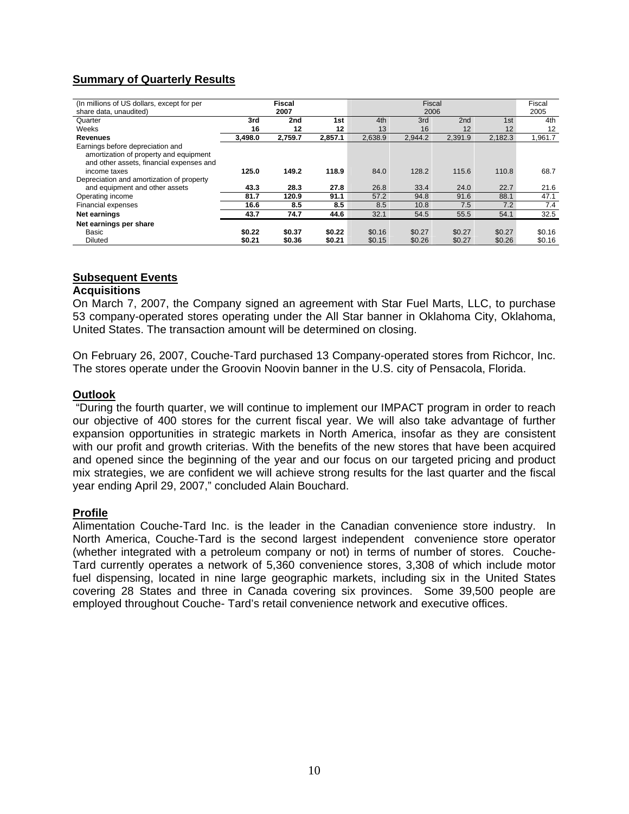## **Summary of Quarterly Results**

| (In millions of US dollars, except for per<br>share data, unaudited)                                                   |         | <b>Fiscal</b><br>2007 |         | Fiscal<br>2006 |         |                 |         | Fiscal<br>2005 |
|------------------------------------------------------------------------------------------------------------------------|---------|-----------------------|---------|----------------|---------|-----------------|---------|----------------|
| Quarter                                                                                                                | 3rd     | 2nd                   | 1st     | 4th            | 3rd     | 2 <sub>nd</sub> | 1st     | 4th            |
| Weeks                                                                                                                  | 16      | 12                    | 12      | 13             | 16      | 12              | 12      | 12             |
| <b>Revenues</b>                                                                                                        | 3,498.0 | 2,759.7               | 2.857.1 | 2.638.9        | 2,944.2 | 2,391.9         | 2.182.3 | 1,961.7        |
| Earnings before depreciation and<br>amortization of property and equipment<br>and other assets, financial expenses and |         |                       |         |                |         |                 |         |                |
| income taxes                                                                                                           | 125.0   | 149.2                 | 118.9   | 84.0           | 128.2   | 115.6           | 110.8   | 68.7           |
| Depreciation and amortization of property                                                                              |         |                       |         |                |         |                 |         |                |
| and equipment and other assets                                                                                         | 43.3    | 28.3                  | 27.8    | 26.8           | 33.4    | 24.0            | 22.7    | 21.6           |
| Operating income                                                                                                       | 81.7    | 120.9                 | 91.1    | 57.2           | 94.8    | 91.6            | 88.1    | 47.1           |
| Financial expenses                                                                                                     | 16.6    | 8.5                   | 8.5     | 8.5            | 10.8    | 7.5             | 7.2     | 7.4            |
| Net earnings                                                                                                           | 43.7    | 74.7                  | 44.6    | 32.1           | 54.5    | 55.5            | 54.1    | 32.5           |
| Net earnings per share                                                                                                 |         |                       |         |                |         |                 |         |                |
| Basic                                                                                                                  | \$0.22  | \$0.37                | \$0.22  | \$0.16         | \$0.27  | \$0.27          | \$0.27  | \$0.16         |
| <b>Diluted</b>                                                                                                         | \$0.21  | \$0.36                | \$0.21  | \$0.15         | \$0.26  | \$0.27          | \$0.26  | \$0.16         |

## **Subsequent Events**

## **Acquisitions**

On March 7, 2007, the Company signed an agreement with Star Fuel Marts, LLC, to purchase 53 company-operated stores operating under the All Star banner in Oklahoma City, Oklahoma, United States. The transaction amount will be determined on closing.

On February 26, 2007, Couche-Tard purchased 13 Company-operated stores from Richcor, Inc. The stores operate under the Groovin Noovin banner in the U.S. city of Pensacola, Florida.

## **Outlook**

 "During the fourth quarter, we will continue to implement our IMPACT program in order to reach our objective of 400 stores for the current fiscal year. We will also take advantage of further expansion opportunities in strategic markets in North America, insofar as they are consistent with our profit and growth criterias. With the benefits of the new stores that have been acquired and opened since the beginning of the year and our focus on our targeted pricing and product mix strategies, we are confident we will achieve strong results for the last quarter and the fiscal year ending April 29, 2007," concluded Alain Bouchard.

## **Profile**

Alimentation Couche-Tard Inc. is the leader in the Canadian convenience store industry. In North America, Couche-Tard is the second largest independent convenience store operator (whether integrated with a petroleum company or not) in terms of number of stores. Couche-Tard currently operates a network of 5,360 convenience stores, 3,308 of which include motor fuel dispensing, located in nine large geographic markets, including six in the United States covering 28 States and three in Canada covering six provinces. Some 39,500 people are employed throughout Couche- Tard's retail convenience network and executive offices.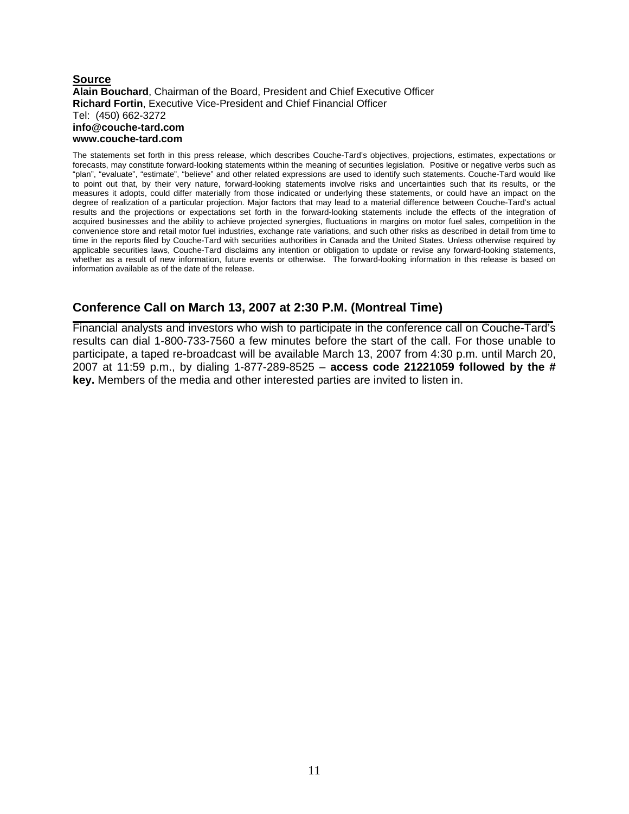### **Source Alain Bouchard**, Chairman of the Board, President and Chief Executive Officer **Richard Fortin**, Executive Vice-President and Chief Financial Officer Tel: (450) 662-3272 **info@couche-tard.com www.couche-tard.com**

The statements set forth in this press release, which describes Couche-Tard's objectives, projections, estimates, expectations or forecasts, may constitute forward-looking statements within the meaning of securities legislation. Positive or negative verbs such as "plan", "evaluate", "estimate", "believe" and other related expressions are used to identify such statements. Couche-Tard would like to point out that, by their very nature, forward-looking statements involve risks and uncertainties such that its results, or the measures it adopts, could differ materially from those indicated or underlying these statements, or could have an impact on the degree of realization of a particular projection. Major factors that may lead to a material difference between Couche-Tard's actual results and the projections or expectations set forth in the forward-looking statements include the effects of the integration of acquired businesses and the ability to achieve projected synergies, fluctuations in margins on motor fuel sales, competition in the convenience store and retail motor fuel industries, exchange rate variations, and such other risks as described in detail from time to time in the reports filed by Couche-Tard with securities authorities in Canada and the United States. Unless otherwise required by applicable securities laws, Couche-Tard disclaims any intention or obligation to update or revise any forward-looking statements, whether as a result of new information, future events or otherwise. The forward-looking information in this release is based on information available as of the date of the release.

## **Conference Call on March 13, 2007 at 2:30 P.M. (Montreal Time)**

Financial analysts and investors who wish to participate in the conference call on Couche-Tard's results can dial 1-800-733-7560 a few minutes before the start of the call. For those unable to participate, a taped re-broadcast will be available March 13, 2007 from 4:30 p.m. until March 20, 2007 at 11:59 p.m., by dialing 1-877-289-8525 – **access code 21221059 followed by the # key.** Members of the media and other interested parties are invited to listen in.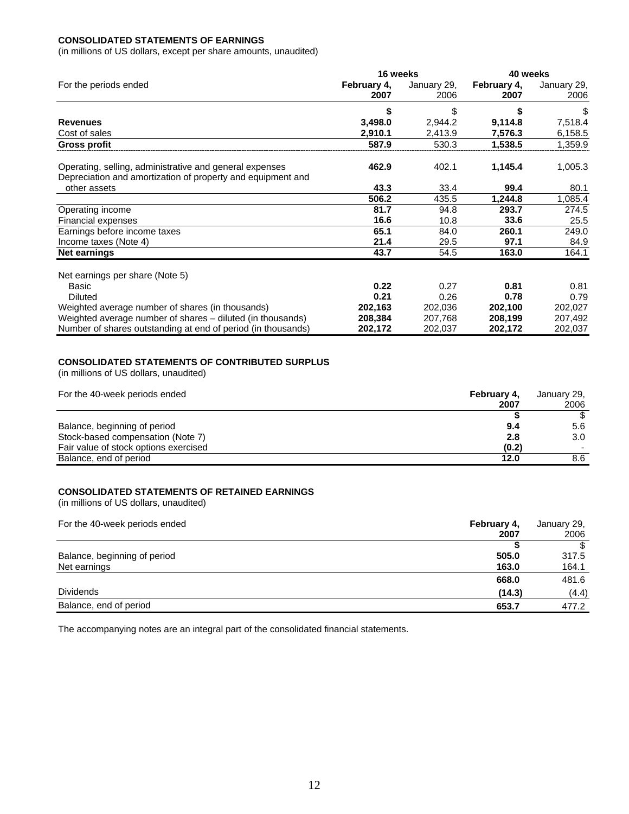### **CONSOLIDATED STATEMENTS OF EARNINGS**

(in millions of US dollars, except per share amounts, unaudited)

|                                                                                                                        | 16 weeks            |                     | 40 weeks            |                     |  |
|------------------------------------------------------------------------------------------------------------------------|---------------------|---------------------|---------------------|---------------------|--|
| For the periods ended                                                                                                  | February 4,<br>2007 | January 29,<br>2006 | February 4,<br>2007 | January 29,<br>2006 |  |
|                                                                                                                        | \$                  | \$                  | 5                   | \$                  |  |
| <b>Revenues</b>                                                                                                        | 3,498.0             | 2,944.2             | 9,114.8             | 7,518.4             |  |
| Cost of sales                                                                                                          | 2,910.1             | 2,413.9             | 7,576.3             | 6,158.5             |  |
| Gross profit                                                                                                           | 587.9               | 530.3               | 1,538.5             | 1,359.9             |  |
| Operating, selling, administrative and general expenses<br>Depreciation and amortization of property and equipment and | 462.9               | 402.1               | 1,145.4             | 1,005.3             |  |
| other assets                                                                                                           | 43.3                | 33.4                | 99.4                | 80.1                |  |
|                                                                                                                        | 506.2               | 435.5               | 1,244.8             | 1,085.4             |  |
| Operating income                                                                                                       | 81.7                | 94.8                | 293.7               | 274.5               |  |
| Financial expenses                                                                                                     | 16.6                | 10.8                | 33.6                | 25.5                |  |
| Earnings before income taxes                                                                                           | 65.1                | 84.0                | 260.1               | 249.0               |  |
| Income taxes (Note 4)                                                                                                  | 21.4                | 29.5                | 97.1                | 84.9                |  |
| <b>Net earnings</b>                                                                                                    | 43.7                | 54.5                | 163.0               | 164.1               |  |
| Net earnings per share (Note 5)                                                                                        |                     |                     |                     |                     |  |
| Basic                                                                                                                  | 0.22                | 0.27                | 0.81                | 0.81                |  |
| <b>Diluted</b>                                                                                                         | 0.21                | 0.26                | 0.78                | 0.79                |  |
| Weighted average number of shares (in thousands)                                                                       | 202,163             | 202,036             | 202,100             | 202,027             |  |
| Weighted average number of shares - diluted (in thousands)                                                             | 208,384             | 207,768             | 208,199             | 207,492             |  |
| Number of shares outstanding at end of period (in thousands)                                                           | 202,172             | 202,037             | 202,172             | 202,037             |  |

### **CONSOLIDATED STATEMENTS OF CONTRIBUTED SURPLUS**

(in millions of US dollars, unaudited)

| For the 40-week periods ended<br>February 4,   | January 29,      |
|------------------------------------------------|------------------|
| 2007                                           | 2006             |
|                                                | \$               |
| Balance, beginning of period<br>9.4            | 5.6              |
| Stock-based compensation (Note 7)<br>2.8       | 3.0 <sub>2</sub> |
| Fair value of stock options exercised<br>(0.2) |                  |
| Balance, end of period<br>12.0                 | 8.6              |

### **CONSOLIDATED STATEMENTS OF RETAINED EARNINGS**

(in millions of US dollars, unaudited)

| For the 40-week periods ended | February 4,<br>2007 | January 29,<br>2006 |
|-------------------------------|---------------------|---------------------|
|                               |                     | -S                  |
| Balance, beginning of period  | 505.0               | 317.5               |
| Net earnings                  | 163.0               | 164.1               |
|                               | 668.0               | 481.6               |
| <b>Dividends</b>              | (14.3)              | (4.4)               |
| Balance, end of period        | 653.7               | 477.2               |

The accompanying notes are an integral part of the consolidated financial statements.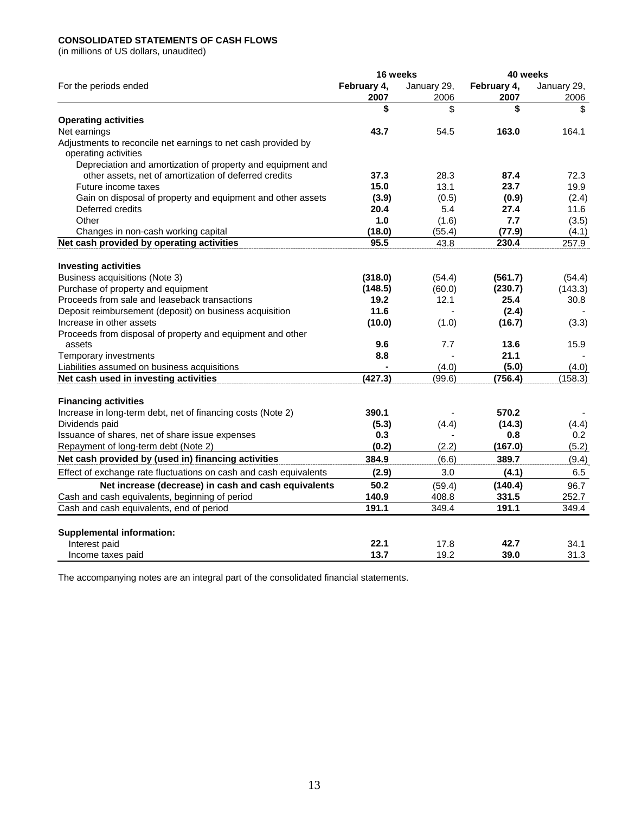### **CONSOLIDATED STATEMENTS OF CASH FLOWS**

(in millions of US dollars, unaudited)

|                                                                   | 16 weeks    |             | 40 weeks    |             |  |
|-------------------------------------------------------------------|-------------|-------------|-------------|-------------|--|
| For the periods ended                                             | February 4, | January 29, | February 4, | January 29, |  |
|                                                                   | 2007        | 2006        | 2007        | 2006        |  |
|                                                                   | \$          | \$          | \$          | \$          |  |
| <b>Operating activities</b>                                       |             |             |             |             |  |
| Net earnings                                                      | 43.7        | 54.5        | 163.0       | 164.1       |  |
| Adjustments to reconcile net earnings to net cash provided by     |             |             |             |             |  |
| operating activities                                              |             |             |             |             |  |
| Depreciation and amortization of property and equipment and       |             |             |             |             |  |
| other assets, net of amortization of deferred credits             | 37.3        | 28.3        | 87.4        | 72.3        |  |
| Future income taxes                                               | 15.0        | 13.1        | 23.7        | 19.9        |  |
| Gain on disposal of property and equipment and other assets       | (3.9)       | (0.5)       | (0.9)       | (2.4)       |  |
| Deferred credits                                                  | 20.4        | 5.4         | 27.4        | 11.6        |  |
| Other                                                             | 1.0         | (1.6)       | 7.7         | (3.5)       |  |
| Changes in non-cash working capital                               | (18.0)      | (55.4)      | (77.9)      | (4.1)       |  |
| Net cash provided by operating activities                         | 95.5        | 43.8        | 230.4       | 257.9       |  |
|                                                                   |             |             |             |             |  |
| <b>Investing activities</b>                                       |             |             |             |             |  |
| Business acquisitions (Note 3)                                    | (318.0)     | (54.4)      | (561.7)     | (54.4)      |  |
| Purchase of property and equipment                                | (148.5)     | (60.0)      | (230.7)     | (143.3)     |  |
| Proceeds from sale and leaseback transactions                     | 19.2        | 12.1        | 25.4        | 30.8        |  |
| Deposit reimbursement (deposit) on business acquisition           | 11.6        |             | (2.4)       |             |  |
| Increase in other assets                                          | (10.0)      | (1.0)       | (16.7)      | (3.3)       |  |
| Proceeds from disposal of property and equipment and other        |             |             |             |             |  |
| assets                                                            | 9.6         | 7.7         | 13.6        | 15.9        |  |
| Temporary investments                                             | 8.8         |             | 21.1        |             |  |
| Liabilities assumed on business acquisitions                      |             | (4.0)       | (5.0)       | (4.0)       |  |
| Net cash used in investing activities                             | (427.3)     | (99.6)      | (756.4)     | (158.3)     |  |
|                                                                   |             |             |             |             |  |
| <b>Financing activities</b>                                       |             |             |             |             |  |
| Increase in long-term debt, net of financing costs (Note 2)       | 390.1       |             | 570.2       |             |  |
| Dividends paid                                                    | (5.3)       | (4.4)       | (14.3)      | (4.4)       |  |
| Issuance of shares, net of share issue expenses                   | 0.3         |             | 0.8         | 0.2         |  |
| Repayment of long-term debt (Note 2)                              | (0.2)       | (2.2)       | (167.0)     | (5.2)       |  |
| Net cash provided by (used in) financing activities               | 384.9       | (6.6)       | 389.7       | (9.4)       |  |
| Effect of exchange rate fluctuations on cash and cash equivalents | (2.9)       | 3.0         | (4.1)       | 6.5         |  |
| Net increase (decrease) in cash and cash equivalents              | 50.2        | (59.4)      | (140.4)     | 96.7        |  |
| Cash and cash equivalents, beginning of period                    | 140.9       | 408.8       | 331.5       | 252.7       |  |
| Cash and cash equivalents, end of period                          | 191.1       | 349.4       | 191.1       | 349.4       |  |
|                                                                   |             |             |             |             |  |
| <b>Supplemental information:</b>                                  |             |             |             |             |  |
| Interest paid                                                     | 22.1        | 17.8        | 42.7        | 34.1        |  |
| Income taxes paid                                                 | 13.7        | 19.2        | 39.0        | 31.3        |  |

The accompanying notes are an integral part of the consolidated financial statements.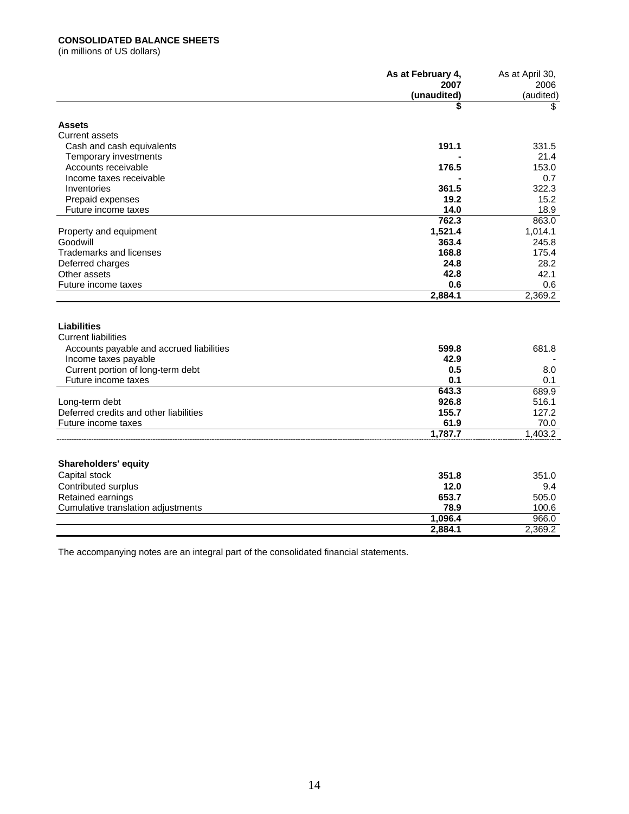### **CONSOLIDATED BALANCE SHEETS**

(in millions of US dollars)

|                                                  | As at February 4,   | As at April 30,   |
|--------------------------------------------------|---------------------|-------------------|
|                                                  | 2007<br>(unaudited) | 2006<br>(audited) |
|                                                  | \$                  | \$                |
|                                                  |                     |                   |
| <b>Assets</b>                                    |                     |                   |
| <b>Current assets</b>                            |                     |                   |
| Cash and cash equivalents                        | 191.1               | 331.5             |
| Temporary investments                            |                     | 21.4              |
| Accounts receivable                              | 176.5               | 153.0             |
| Income taxes receivable                          |                     | 0.7               |
| Inventories                                      | 361.5               | 322.3             |
| Prepaid expenses                                 | 19.2<br>14.0        | 15.2<br>18.9      |
| Future income taxes                              | 762.3               | 863.0             |
|                                                  | 1,521.4             | 1,014.1           |
| Property and equipment<br>Goodwill               | 363.4               | 245.8             |
| <b>Trademarks and licenses</b>                   | 168.8               | 175.4             |
| Deferred charges                                 | 24.8                | 28.2              |
| Other assets                                     | 42.8                | 42.1              |
| Future income taxes                              | 0.6                 | 0.6               |
|                                                  | 2,884.1             | 2,369.2           |
| <b>Liabilities</b><br><b>Current liabilities</b> |                     |                   |
| Accounts payable and accrued liabilities         | 599.8               | 681.8             |
| Income taxes payable                             | 42.9                |                   |
| Current portion of long-term debt                | 0.5                 | 8.0               |
| Future income taxes                              | 0.1                 | 0.1               |
|                                                  | 643.3               | 689.9             |
| Long-term debt                                   | 926.8               | 516.1             |
| Deferred credits and other liabilities           | 155.7               | 127.2             |
| Future income taxes                              | 61.9<br>1,787.7     | 70.0              |
|                                                  |                     | 1,403.2           |
|                                                  |                     |                   |
| <b>Shareholders' equity</b>                      |                     |                   |
| Capital stock                                    | 351.8               | 351.0             |
| Contributed surplus                              | 12.0                | 9.4               |
| Retained earnings                                | 653.7               | 505.0             |
| Cumulative translation adjustments               | 78.9                | 100.6             |
|                                                  | 1,096.4             | 966.0             |
|                                                  | 2,884.1             | 2,369.2           |

The accompanying notes are an integral part of the consolidated financial statements.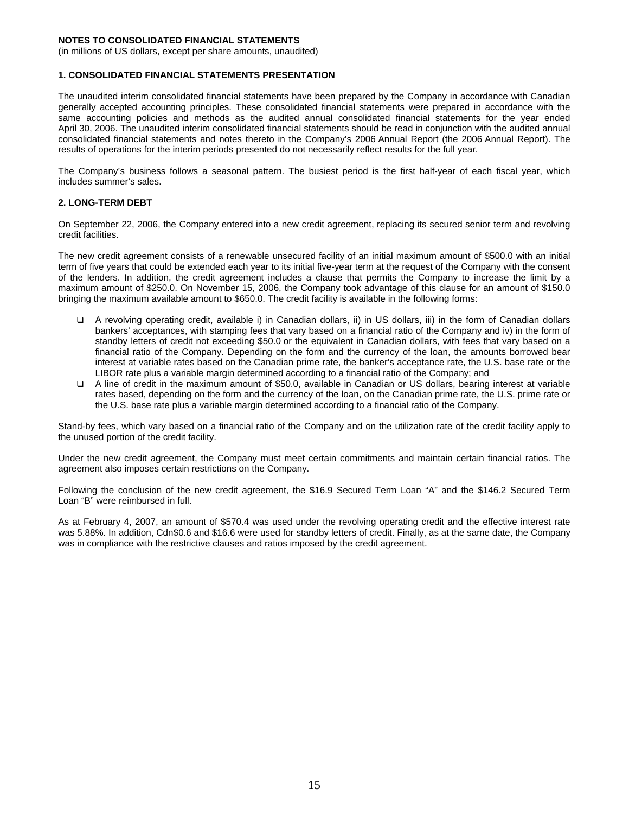(in millions of US dollars, except per share amounts, unaudited)

#### **1. CONSOLIDATED FINANCIAL STATEMENTS PRESENTATION**

The unaudited interim consolidated financial statements have been prepared by the Company in accordance with Canadian generally accepted accounting principles. These consolidated financial statements were prepared in accordance with the same accounting policies and methods as the audited annual consolidated financial statements for the year ended April 30, 2006. The unaudited interim consolidated financial statements should be read in conjunction with the audited annual consolidated financial statements and notes thereto in the Company's 2006 Annual Report (the 2006 Annual Report). The results of operations for the interim periods presented do not necessarily reflect results for the full year.

The Company's business follows a seasonal pattern. The busiest period is the first half-year of each fiscal year, which includes summer's sales.

### **2. LONG-TERM DEBT**

On September 22, 2006, the Company entered into a new credit agreement, replacing its secured senior term and revolving credit facilities.

The new credit agreement consists of a renewable unsecured facility of an initial maximum amount of \$500.0 with an initial term of five years that could be extended each year to its initial five-year term at the request of the Company with the consent of the lenders. In addition, the credit agreement includes a clause that permits the Company to increase the limit by a maximum amount of \$250.0. On November 15, 2006, the Company took advantage of this clause for an amount of \$150.0 bringing the maximum available amount to \$650.0. The credit facility is available in the following forms:

- A revolving operating credit, available i) in Canadian dollars, ii) in US dollars, iii) in the form of Canadian dollars bankers' acceptances, with stamping fees that vary based on a financial ratio of the Company and iv) in the form of standby letters of credit not exceeding \$50.0 or the equivalent in Canadian dollars, with fees that vary based on a financial ratio of the Company. Depending on the form and the currency of the loan, the amounts borrowed bear interest at variable rates based on the Canadian prime rate, the banker's acceptance rate, the U.S. base rate or the LIBOR rate plus a variable margin determined according to a financial ratio of the Company; and
- A line of credit in the maximum amount of \$50.0, available in Canadian or US dollars, bearing interest at variable rates based, depending on the form and the currency of the loan, on the Canadian prime rate, the U.S. prime rate or the U.S. base rate plus a variable margin determined according to a financial ratio of the Company.

Stand-by fees, which vary based on a financial ratio of the Company and on the utilization rate of the credit facility apply to the unused portion of the credit facility.

Under the new credit agreement, the Company must meet certain commitments and maintain certain financial ratios. The agreement also imposes certain restrictions on the Company.

Following the conclusion of the new credit agreement, the \$16.9 Secured Term Loan "A" and the \$146.2 Secured Term Loan "B" were reimbursed in full.

As at February 4, 2007, an amount of \$570.4 was used under the revolving operating credit and the effective interest rate was 5.88%. In addition, Cdn\$0.6 and \$16.6 were used for standby letters of credit. Finally, as at the same date, the Company was in compliance with the restrictive clauses and ratios imposed by the credit agreement.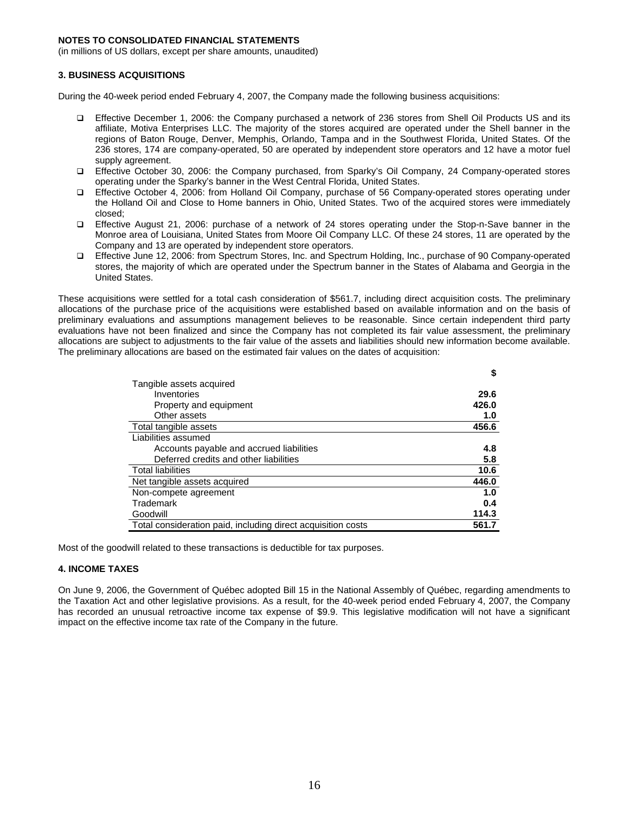(in millions of US dollars, except per share amounts, unaudited)

### **3. BUSINESS ACQUISITIONS**

During the 40-week period ended February 4, 2007, the Company made the following business acquisitions:

- Effective December 1, 2006: the Company purchased a network of 236 stores from Shell Oil Products US and its affiliate, Motiva Enterprises LLC. The majority of the stores acquired are operated under the Shell banner in the regions of Baton Rouge, Denver, Memphis, Orlando, Tampa and in the Southwest Florida, United States. Of the 236 stores, 174 are company-operated, 50 are operated by independent store operators and 12 have a motor fuel supply agreement.
- Effective October 30, 2006: the Company purchased, from Sparky's Oil Company, 24 Company-operated stores operating under the Sparky's banner in the West Central Florida, United States.
- Effective October 4, 2006: from Holland Oil Company, purchase of 56 Company-operated stores operating under the Holland Oil and Close to Home banners in Ohio, United States. Two of the acquired stores were immediately closed;
- Effective August 21, 2006: purchase of a network of 24 stores operating under the Stop-n-Save banner in the Monroe area of Louisiana, United States from Moore Oil Company LLC. Of these 24 stores, 11 are operated by the Company and 13 are operated by independent store operators.
- Effective June 12, 2006: from Spectrum Stores, Inc. and Spectrum Holding, Inc., purchase of 90 Company-operated stores, the majority of which are operated under the Spectrum banner in the States of Alabama and Georgia in the United States.

These acquisitions were settled for a total cash consideration of \$561.7, including direct acquisition costs. The preliminary allocations of the purchase price of the acquisitions were established based on available information and on the basis of preliminary evaluations and assumptions management believes to be reasonable. Since certain independent third party evaluations have not been finalized and since the Company has not completed its fair value assessment, the preliminary allocations are subject to adjustments to the fair value of the assets and liabilities should new information become available. The preliminary allocations are based on the estimated fair values on the dates of acquisition:

|                                                              | \$    |
|--------------------------------------------------------------|-------|
| Tangible assets acquired                                     |       |
| Inventories                                                  | 29.6  |
| Property and equipment                                       | 426.0 |
| Other assets                                                 | 1.0   |
| Total tangible assets                                        | 456.6 |
| Liabilities assumed                                          |       |
| Accounts payable and accrued liabilities                     | 4.8   |
| Deferred credits and other liabilities                       | 5.8   |
| <b>Total liabilities</b>                                     | 10.6  |
| Net tangible assets acquired                                 | 446.0 |
| Non-compete agreement                                        | 1.0   |
| Trademark                                                    | 0.4   |
| Goodwill                                                     | 114.3 |
| Total consideration paid, including direct acquisition costs | 561.7 |

Most of the goodwill related to these transactions is deductible for tax purposes.

### **4. INCOME TAXES**

On June 9, 2006, the Government of Québec adopted Bill 15 in the National Assembly of Québec, regarding amendments to the Taxation Act and other legislative provisions. As a result, for the 40-week period ended February 4, 2007, the Company has recorded an unusual retroactive income tax expense of \$9.9. This legislative modification will not have a significant impact on the effective income tax rate of the Company in the future.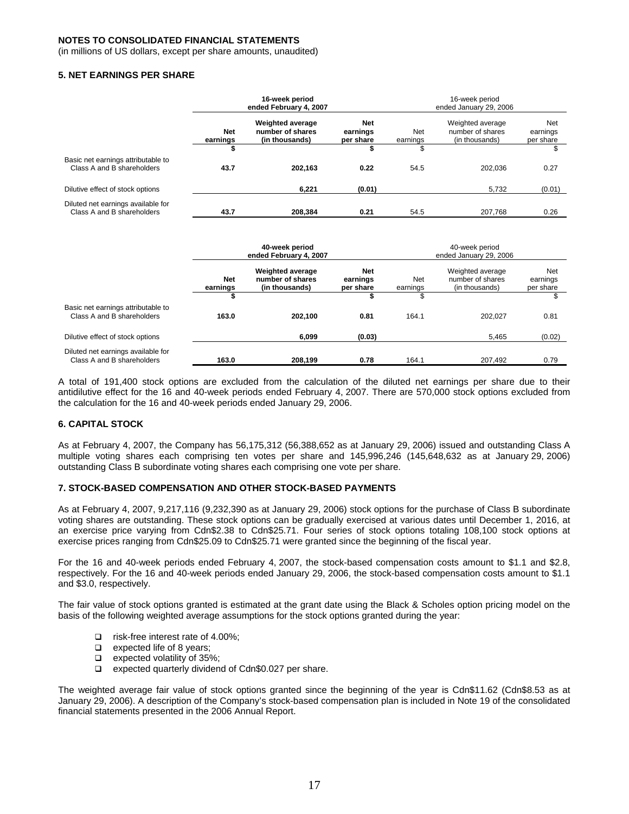(in millions of US dollars, except per share amounts, unaudited)

#### **5. NET EARNINGS PER SHARE**

|                                                                  | 16-week period<br>ended February 4, 2007 |                                                                                                                         |        | 16-week period<br>ended January 29, 2006 |                                          |        |                                                        |                              |  |
|------------------------------------------------------------------|------------------------------------------|-------------------------------------------------------------------------------------------------------------------------|--------|------------------------------------------|------------------------------------------|--------|--------------------------------------------------------|------------------------------|--|
|                                                                  | <b>Net</b><br>earnings                   | <b>Weighted average</b><br><b>Net</b><br>number of shares<br>Net<br>earnings<br>(in thousands)<br>per share<br>earnings |        |                                          |                                          |        | Weighted average<br>number of shares<br>(in thousands) | Net<br>earnings<br>per share |  |
|                                                                  | \$                                       |                                                                                                                         | \$     | \$                                       |                                          | \$     |                                                        |                              |  |
| Basic net earnings attributable to<br>Class A and B shareholders | 43.7                                     | 202,163                                                                                                                 | 0.22   | 54.5                                     | 202,036                                  | 0.27   |                                                        |                              |  |
| Dilutive effect of stock options                                 |                                          | 6,221                                                                                                                   | (0.01) |                                          | 5,732                                    | (0.01) |                                                        |                              |  |
| Diluted net earnings available for<br>Class A and B shareholders | 43.7                                     | 208,384                                                                                                                 | 0.21   | 54.5                                     | 207,768                                  | 0.26   |                                                        |                              |  |
|                                                                  |                                          | 40-week period<br>ended February 4, 2007                                                                                |        |                                          | 40-week period<br>ended January 29, 2006 |        |                                                        |                              |  |

|                                                                  | ended February 4, 2007 |                                                               |                                     | ended January 29, 2006 |                                                        |                              |  |
|------------------------------------------------------------------|------------------------|---------------------------------------------------------------|-------------------------------------|------------------------|--------------------------------------------------------|------------------------------|--|
|                                                                  | <b>Net</b><br>earnings | <b>Weighted average</b><br>number of shares<br>(in thousands) | <b>Net</b><br>earnings<br>per share | Net<br>earnings        | Weighted average<br>number of shares<br>(in thousands) | Net<br>earnings<br>per share |  |
|                                                                  |                        |                                                               |                                     |                        |                                                        |                              |  |
| Basic net earnings attributable to<br>Class A and B shareholders | 163.0                  | 202.100                                                       | 0.81                                | 164.1                  | 202.027                                                | 0.81                         |  |
| Dilutive effect of stock options                                 |                        | 6.099                                                         | (0.03)                              |                        | 5.465                                                  | (0.02)                       |  |
| Diluted net earnings available for<br>Class A and B shareholders | 163.0                  | 208.199                                                       | 0.78                                | 164.1                  | 207.492                                                | 0.79                         |  |

A total of 191,400 stock options are excluded from the calculation of the diluted net earnings per share due to their antidilutive effect for the 16 and 40-week periods ended February 4, 2007. There are 570,000 stock options excluded from the calculation for the 16 and 40-week periods ended January 29, 2006.

#### **6. CAPITAL STOCK**

As at February 4, 2007, the Company has 56,175,312 (56,388,652 as at January 29, 2006) issued and outstanding Class A multiple voting shares each comprising ten votes per share and 145,996,246 (145,648,632 as at January 29, 2006) outstanding Class B subordinate voting shares each comprising one vote per share.

#### **7. STOCK-BASED COMPENSATION AND OTHER STOCK-BASED PAYMENTS**

As at February 4, 2007, 9,217,116 (9,232,390 as at January 29, 2006) stock options for the purchase of Class B subordinate voting shares are outstanding. These stock options can be gradually exercised at various dates until December 1, 2016, at an exercise price varying from Cdn\$2.38 to Cdn\$25.71. Four series of stock options totaling 108,100 stock options at exercise prices ranging from Cdn\$25.09 to Cdn\$25.71 were granted since the beginning of the fiscal year.

For the 16 and 40-week periods ended February 4, 2007, the stock-based compensation costs amount to \$1.1 and \$2.8, respectively. For the 16 and 40-week periods ended January 29, 2006, the stock-based compensation costs amount to \$1.1 and \$3.0, respectively.

The fair value of stock options granted is estimated at the grant date using the Black & Scholes option pricing model on the basis of the following weighted average assumptions for the stock options granted during the year:

- □ risk-free interest rate of 4.00%;
- $\Box$  expected life of 8 years;
- $\Box$  expected volatility of 35%;
- □ expected quarterly dividend of Cdn\$0.027 per share.

The weighted average fair value of stock options granted since the beginning of the year is Cdn\$11.62 (Cdn\$8.53 as at January 29, 2006). A description of the Company's stock-based compensation plan is included in Note 19 of the consolidated financial statements presented in the 2006 Annual Report.